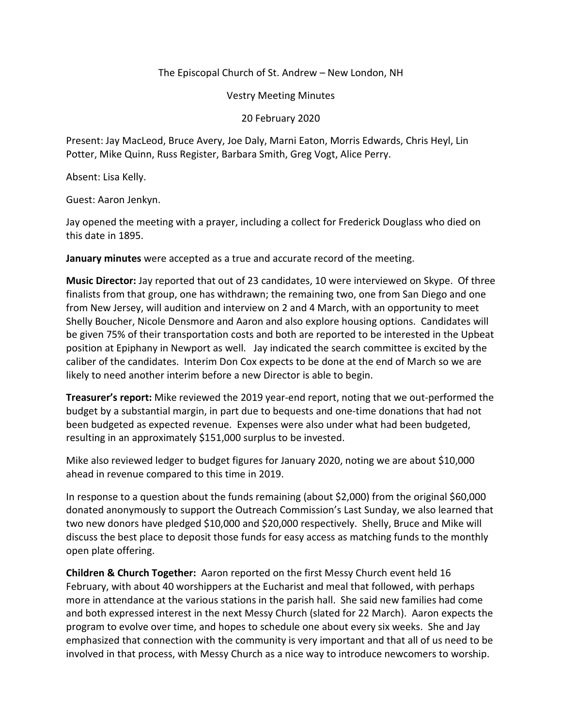## The Episcopal Church of St. Andrew – New London, NH

Vestry Meeting Minutes

20 February 2020

Present: Jay MacLeod, Bruce Avery, Joe Daly, Marni Eaton, Morris Edwards, Chris Heyl, Lin Potter, Mike Quinn, Russ Register, Barbara Smith, Greg Vogt, Alice Perry.

Absent: Lisa Kelly.

Guest: Aaron Jenkyn.

Jay opened the meeting with a prayer, including a collect for Frederick Douglass who died on this date in 1895.

**January minutes** were accepted as a true and accurate record of the meeting.

**Music Director:** Jay reported that out of 23 candidates, 10 were interviewed on Skype. Of three finalists from that group, one has withdrawn; the remaining two, one from San Diego and one from New Jersey, will audition and interview on 2 and 4 March, with an opportunity to meet Shelly Boucher, Nicole Densmore and Aaron and also explore housing options. Candidates will be given 75% of their transportation costs and both are reported to be interested in the Upbeat position at Epiphany in Newport as well. Jay indicated the search committee is excited by the caliber of the candidates. Interim Don Cox expects to be done at the end of March so we are likely to need another interim before a new Director is able to begin.

**Treasurer's report:** Mike reviewed the 2019 year-end report, noting that we out-performed the budget by a substantial margin, in part due to bequests and one-time donations that had not been budgeted as expected revenue. Expenses were also under what had been budgeted, resulting in an approximately \$151,000 surplus to be invested.

Mike also reviewed ledger to budget figures for January 2020, noting we are about \$10,000 ahead in revenue compared to this time in 2019.

In response to a question about the funds remaining (about \$2,000) from the original \$60,000 donated anonymously to support the Outreach Commission's Last Sunday, we also learned that two new donors have pledged \$10,000 and \$20,000 respectively. Shelly, Bruce and Mike will discuss the best place to deposit those funds for easy access as matching funds to the monthly open plate offering.

**Children & Church Together:** Aaron reported on the first Messy Church event held 16 February, with about 40 worshippers at the Eucharist and meal that followed, with perhaps more in attendance at the various stations in the parish hall. She said new families had come and both expressed interest in the next Messy Church (slated for 22 March). Aaron expects the program to evolve over time, and hopes to schedule one about every six weeks. She and Jay emphasized that connection with the community is very important and that all of us need to be involved in that process, with Messy Church as a nice way to introduce newcomers to worship.